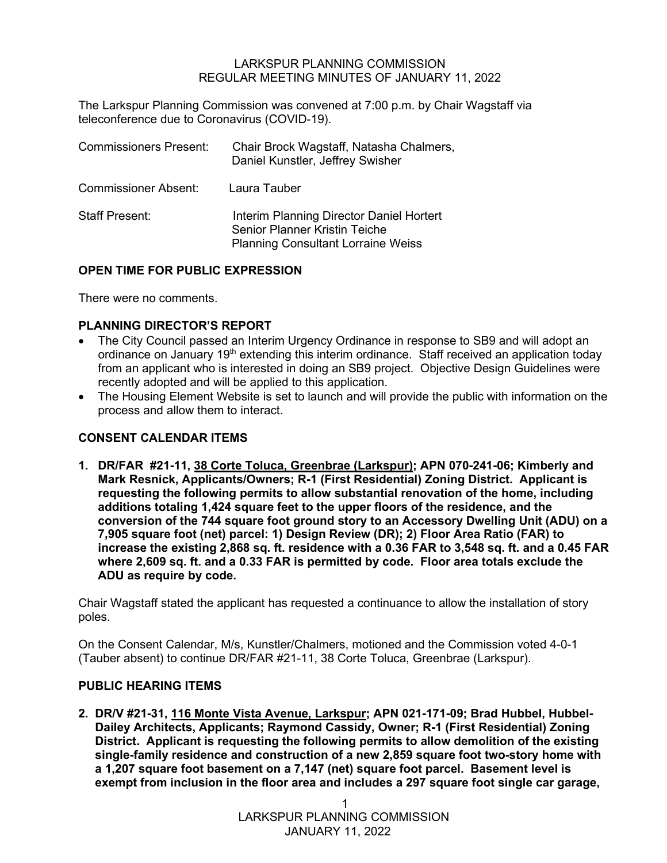### LARKSPUR PLANNING COMMISSION REGULAR MEETING MINUTES OF JANUARY 11, 2022

The Larkspur Planning Commission was convened at 7:00 p.m. by Chair Wagstaff via teleconference due to Coronavirus (COVID-19).

| <b>Commissioners Present:</b> | Chair Brock Wagstaff, Natasha Chalmers,<br>Daniel Kunstler, Jeffrey Swisher                                                   |
|-------------------------------|-------------------------------------------------------------------------------------------------------------------------------|
| <b>Commissioner Absent:</b>   | Laura Tauber                                                                                                                  |
| <b>Staff Present:</b>         | Interim Planning Director Daniel Hortert<br><b>Senior Planner Kristin Teiche</b><br><b>Planning Consultant Lorraine Weiss</b> |

### **OPEN TIME FOR PUBLIC EXPRESSION**

There were no comments.

# **PLANNING DIRECTOR'S REPORT**

- The City Council passed an Interim Urgency Ordinance in response to SB9 and will adopt an ordinance on January 19<sup>th</sup> extending this interim ordinance. Staff received an application today from an applicant who is interested in doing an SB9 project. Objective Design Guidelines were recently adopted and will be applied to this application.
- The Housing Element Website is set to launch and will provide the public with information on the process and allow them to interact.

# **CONSENT CALENDAR ITEMS**

**1. DR/FAR #21-11, 38 Corte Toluca, Greenbrae (Larkspur); APN 070-241-06; Kimberly and Mark Resnick, Applicants/Owners; R-1 (First Residential) Zoning District. Applicant is requesting the following permits to allow substantial renovation of the home, including additions totaling 1,424 square feet to the upper floors of the residence, and the conversion of the 744 square foot ground story to an Accessory Dwelling Unit (ADU) on a 7,905 square foot (net) parcel: 1) Design Review (DR); 2) Floor Area Ratio (FAR) to increase the existing 2,868 sq. ft. residence with a 0.36 FAR to 3,548 sq. ft. and a 0.45 FAR where 2,609 sq. ft. and a 0.33 FAR is permitted by code. Floor area totals exclude the ADU as require by code.**

Chair Wagstaff stated the applicant has requested a continuance to allow the installation of story poles.

On the Consent Calendar, M/s, Kunstler/Chalmers, motioned and the Commission voted 4-0-1 (Tauber absent) to continue DR/FAR #21-11, 38 Corte Toluca, Greenbrae (Larkspur).

#### **PUBLIC HEARING ITEMS**

**2. DR/V #21-31, 116 Monte Vista Avenue, Larkspur; APN 021-171-09; Brad Hubbel, Hubbel- Dailey Architects, Applicants; Raymond Cassidy, Owner; R-1 (First Residential) Zoning District. Applicant is requesting the following permits to allow demolition of the existing single-family residence and construction of a new 2,859 square foot two-story home with a 1,207 square foot basement on a 7,147 (net) square foot parcel. Basement level is exempt from inclusion in the floor area and includes a 297 square foot single car garage,**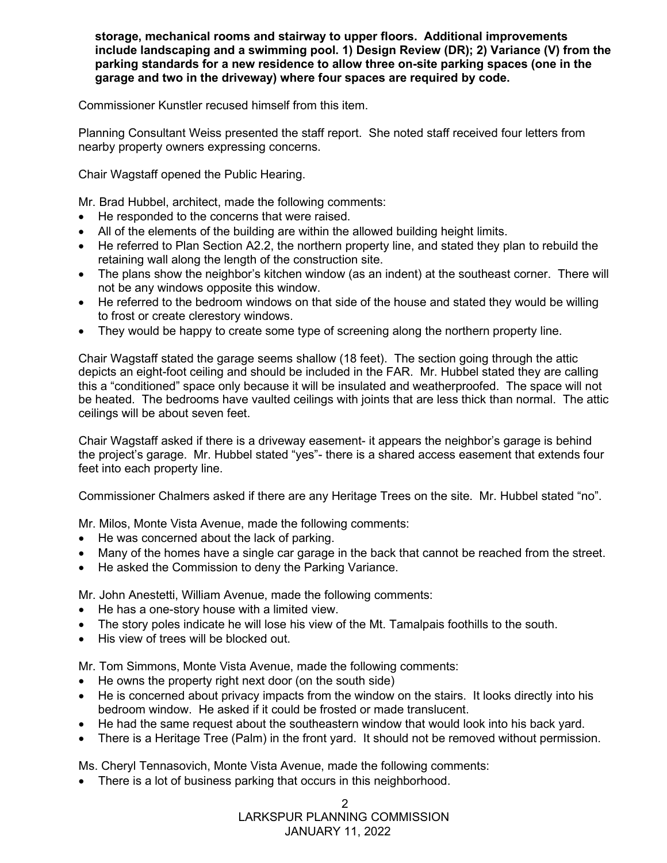**storage, mechanical rooms and stairway to upper floors. Additional improvements include landscaping and a swimming pool. 1) Design Review (DR); 2) Variance (V) from the parking standards for a new residence to allow three on-site parking spaces (one in the garage and two in the driveway) where four spaces are required by code.**

Commissioner Kunstler recused himself from this item.

Planning Consultant Weiss presented the staff report. She noted staff received four letters from nearby property owners expressing concerns.

Chair Wagstaff opened the Public Hearing.

Mr. Brad Hubbel, architect, made the following comments:

- He responded to the concerns that were raised.
- All of the elements of the building are within the allowed building height limits.
- He referred to Plan Section A2.2, the northern property line, and stated they plan to rebuild the retaining wall along the length of the construction site.
- The plans show the neighbor's kitchen window (as an indent) at the southeast corner. There will not be any windows opposite this window.
- He referred to the bedroom windows on that side of the house and stated they would be willing to frost or create clerestory windows.
- They would be happy to create some type of screening along the northern property line.

Chair Wagstaff stated the garage seems shallow (18 feet). The section going through the attic depicts an eight-foot ceiling and should be included in the FAR. Mr. Hubbel stated they are calling this a "conditioned" space only because it will be insulated and weatherproofed. The space will not be heated. The bedrooms have vaulted ceilings with joints that are less thick than normal. The attic ceilings will be about seven feet.

Chair Wagstaff asked if there is a driveway easement- it appears the neighbor's garage is behind the project's garage. Mr. Hubbel stated "yes"- there is a shared access easement that extends four feet into each property line.

Commissioner Chalmers asked if there are any Heritage Trees on the site. Mr. Hubbel stated "no".

Mr. Milos, Monte Vista Avenue, made the following comments:

- He was concerned about the lack of parking.
- Many of the homes have a single car garage in the back that cannot be reached from the street.
- He asked the Commission to deny the Parking Variance.

Mr. John Anestetti, William Avenue, made the following comments:

- He has a one-story house with a limited view.
- The story poles indicate he will lose his view of the Mt. Tamalpais foothills to the south.
- His view of trees will be blocked out.

Mr. Tom Simmons, Monte Vista Avenue, made the following comments:

- He owns the property right next door (on the south side)
- He is concerned about privacy impacts from the window on the stairs. It looks directly into his bedroom window. He asked if it could be frosted or made translucent.
- He had the same request about the southeastern window that would look into his back yard.
- There is a Heritage Tree (Palm) in the front yard. It should not be removed without permission.

Ms. Cheryl Tennasovich, Monte Vista Avenue, made the following comments:

• There is a lot of business parking that occurs in this neighborhood.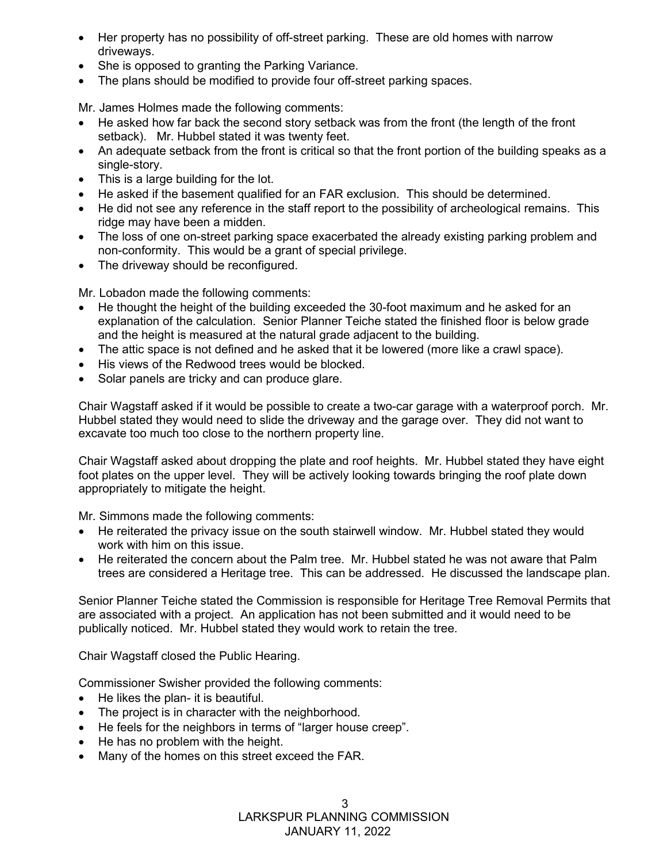- Her property has no possibility of off-street parking. These are old homes with narrow driveways.
- She is opposed to granting the Parking Variance.
- The plans should be modified to provide four off-street parking spaces.

Mr. James Holmes made the following comments:

- He asked how far back the second story setback was from the front (the length of the front setback). Mr. Hubbel stated it was twenty feet.
- An adequate setback from the front is critical so that the front portion of the building speaks as a single-story.
- This is a large building for the lot.
- He asked if the basement qualified for an FAR exclusion. This should be determined.
- He did not see any reference in the staff report to the possibility of archeological remains. This ridge may have been a midden.
- The loss of one on-street parking space exacerbated the already existing parking problem and non-conformity. This would be a grant of special privilege.
- The driveway should be reconfigured.

Mr. Lobadon made the following comments:

- He thought the height of the building exceeded the 30-foot maximum and he asked for an explanation of the calculation. Senior Planner Teiche stated the finished floor is below grade and the height is measured at the natural grade adjacent to the building.
- The attic space is not defined and he asked that it be lowered (more like a crawl space).
- His views of the Redwood trees would be blocked.
- Solar panels are tricky and can produce glare.

Chair Wagstaff asked if it would be possible to create a two-car garage with a waterproof porch. Mr. Hubbel stated they would need to slide the driveway and the garage over. They did not want to excavate too much too close to the northern property line.

Chair Wagstaff asked about dropping the plate and roof heights. Mr. Hubbel stated they have eight foot plates on the upper level. They will be actively looking towards bringing the roof plate down appropriately to mitigate the height.

Mr. Simmons made the following comments:

- He reiterated the privacy issue on the south stairwell window. Mr. Hubbel stated they would work with him on this issue.
- He reiterated the concern about the Palm tree. Mr. Hubbel stated he was not aware that Palm trees are considered a Heritage tree. This can be addressed. He discussed the landscape plan.

Senior Planner Teiche stated the Commission is responsible for Heritage Tree Removal Permits that are associated with a project. An application has not been submitted and it would need to be publically noticed. Mr. Hubbel stated they would work to retain the tree.

Chair Wagstaff closed the Public Hearing.

Commissioner Swisher provided the following comments:

- He likes the plan- it is beautiful.
- The project is in character with the neighborhood.
- He feels for the neighbors in terms of "larger house creep".
- He has no problem with the height.
- Many of the homes on this street exceed the FAR.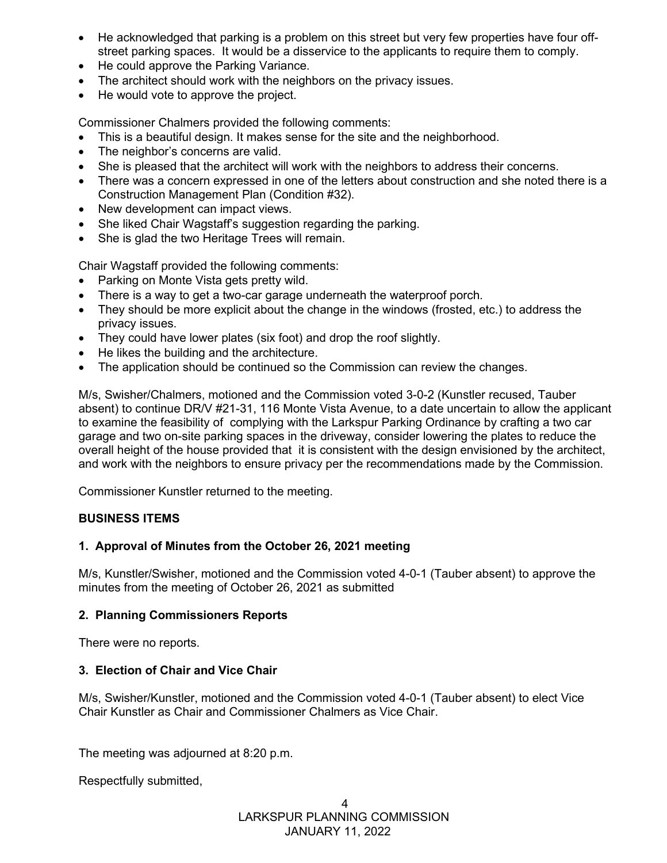- He acknowledged that parking is a problem on this street but very few properties have four offstreet parking spaces. It would be a disservice to the applicants to require them to comply.
- He could approve the Parking Variance.
- The architect should work with the neighbors on the privacy issues.
- He would vote to approve the project.

Commissioner Chalmers provided the following comments:

- This is a beautiful design. It makes sense for the site and the neighborhood.
- The neighbor's concerns are valid.
- She is pleased that the architect will work with the neighbors to address their concerns.
- There was a concern expressed in one of the letters about construction and she noted there is a Construction Management Plan (Condition #32).
- New development can impact views.
- She liked Chair Wagstaff's suggestion regarding the parking.
- She is glad the two Heritage Trees will remain.

Chair Wagstaff provided the following comments:

- Parking on Monte Vista gets pretty wild.
- There is a way to get a two-car garage underneath the waterproof porch.
- They should be more explicit about the change in the windows (frosted, etc.) to address the privacy issues.
- They could have lower plates (six foot) and drop the roof slightly.
- He likes the building and the architecture.
- The application should be continued so the Commission can review the changes.

M/s, Swisher/Chalmers, motioned and the Commission voted 3-0-2 (Kunstler recused, Tauber absent) to continue DR/V #21-31, 116 Monte Vista Avenue, to a date uncertain to allow the applicant to examine the feasibility of complying with the Larkspur Parking Ordinance by crafting a two car garage and two on-site parking spaces in the driveway, consider lowering the plates to reduce the overall height of the house provided that it is consistent with the design envisioned by the architect, and work with the neighbors to ensure privacy per the recommendations made by the Commission.

Commissioner Kunstler returned to the meeting.

# **BUSINESS ITEMS**

# **1. Approval of Minutes from the October 26, 2021 meeting**

M/s, Kunstler/Swisher, motioned and the Commission voted 4-0-1 (Tauber absent) to approve the minutes from the meeting of October 26, 2021 as submitted

# **2. Planning Commissioners Reports**

There were no reports.

# **3. Election of Chair and Vice Chair**

M/s, Swisher/Kunstler, motioned and the Commission voted 4-0-1 (Tauber absent) to elect Vice Chair Kunstler as Chair and Commissioner Chalmers as Vice Chair.

The meeting was adjourned at 8:20 p.m.

Respectfully submitted,